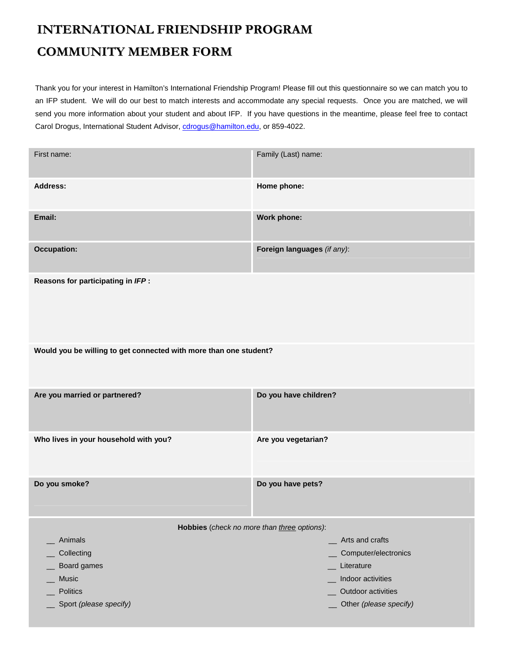## **INTERNATIONAL FRIENDSHIP PROGRAM COMMUNITY MEMBER FORM**

Thank you for your interest in Hamilton's International Friendship Program! Please fill out this questionnaire so we can match you to an IFP student. We will do our best to match interests and accommodate any special requests. Once you are matched, we will send you more information about your student and about IFP. If you have questions in the meantime, please feel free to contact Carol Drogus, International Student Advisor, cdrogus@hamilton.edu, or 859-4022.

| First name:                                                       | Family (Last) name:                     |
|-------------------------------------------------------------------|-----------------------------------------|
| <b>Address:</b>                                                   | Home phone:                             |
| Email:                                                            | Work phone:                             |
| <b>Occupation:</b>                                                | Foreign languages (if any):             |
| Reasons for participating in IFP :                                |                                         |
| Would you be willing to get connected with more than one student? |                                         |
| Are you married or partnered?                                     | Do you have children?                   |
| Who lives in your household with you?                             | Are you vegetarian?                     |
| Do you smoke?                                                     | Do you have pets?                       |
| Hobbies (check no more than three options):                       |                                         |
| Animals                                                           | Arts and crafts                         |
| Collecting                                                        | Computer/electronics                    |
| Board games                                                       | Literature                              |
| Music<br><b>Politics</b>                                          | Indoor activities<br>Outdoor activities |
| Sport (please specify)                                            | Other (please specify)                  |
|                                                                   |                                         |